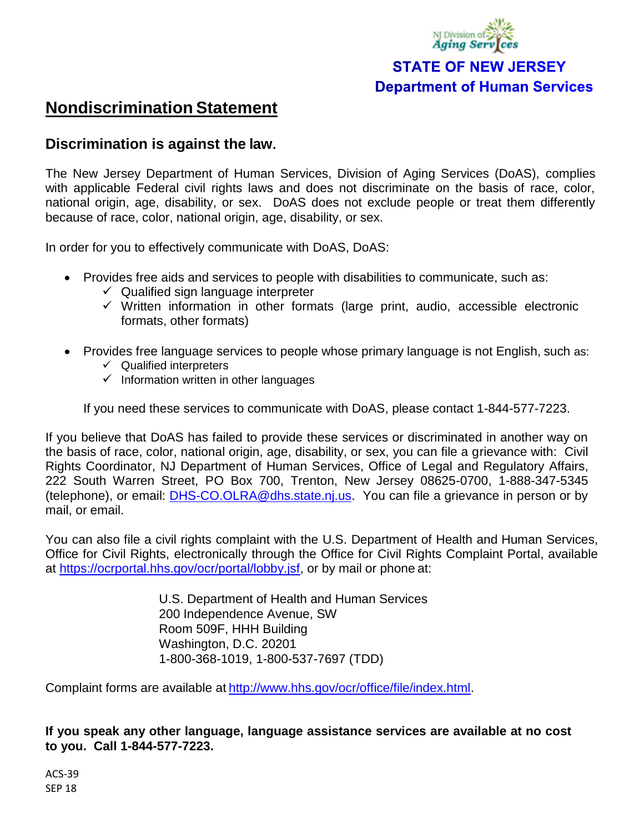

## **STATE OF NEW JERSEY Department of Human Services**

## **Nondiscrimination Statement**

## **Discrimination is against the law.**

The New Jersey Department of Human Services, Division of Aging Services (DoAS), complies with applicable Federal civil rights laws and does not discriminate on the basis of race, color, national origin, age, disability, or sex. DoAS does not exclude people or treat them differently because of race, color, national origin, age, disability, or sex.

In order for you to effectively communicate with DoAS, DoAS:

- Provides free aids and services to people with disabilities to communicate, such as:
	- $\checkmark$  Qualified sign language interpreter
	- $\checkmark$  Written information in other formats (large print, audio, accessible electronic formats, other formats)
- Provides free language services to people whose primary language is not English, such as:
	- $\checkmark$  Qualified interpreters
	- $\checkmark$  Information written in other languages

If you need these services to communicate with DoAS, please contact 1-844-577-7223.

If you believe that DoAS has failed to provide these services or discriminated in another way on the basis of race, color, national origin, age, disability, or sex, you can file a grievance with: Civil Rights Coordinator, NJ Department of Human Services, Office of Legal and Regulatory Affairs, 222 South Warren Street, PO Box 700, Trenton, New Jersey 08625-0700, 1-888-347-5345 (telephone), or email: [DHS-CO.OLRA@dhs.state.nj.us.](mailto:DHS-CO.OLRA@dhs.state.nj.us) You can file a grievance in person or by mail, or email.

You can also file a civil rights complaint with the U.S. Department of Health and Human Services, Office for Civil Rights, electronically through the Office for Civil Rights Complaint Portal, available at [https://ocrportal.hhs.gov/ocr/portal/lobby.jsf,](https://ocrportal.hhs.gov/ocr/portal/lobby.jsf) or by mail or phone at:

> U.S. Department of Health and Human Services 200 Independence Avenue, SW Room 509F, HHH Building Washington, D.C. 20201 1-800-368-1019, 1-800-537-7697 (TDD)

Complaint forms are available at [http://www.hhs.gov/ocr/office/file/index.html.](http://www.hhs.gov/ocr/office/file/index.html)

**If you speak any other language, language assistance services are available at no cost to you. Call 1-844-577-7223.**

ACS-39 SEP 18